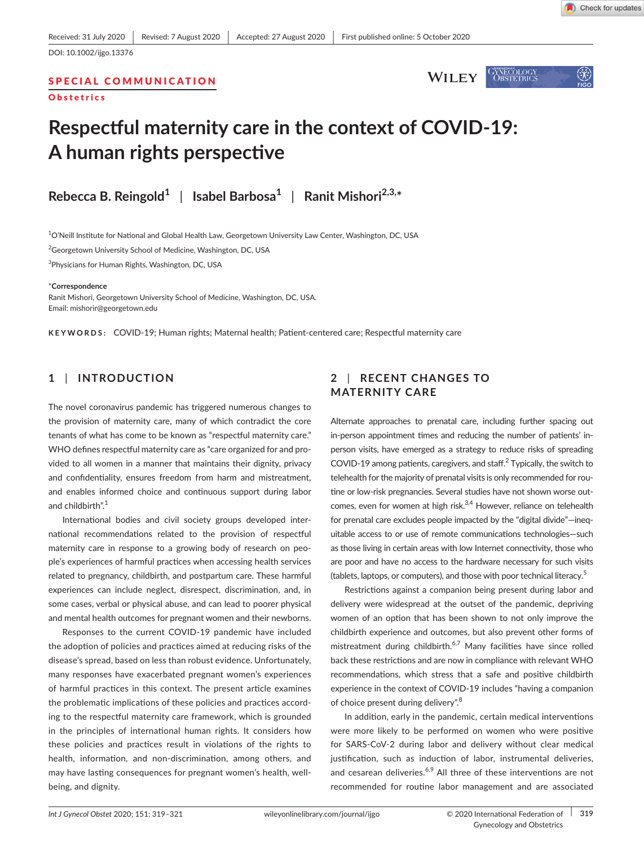**WILEY** 

GYNECOLOGY<br>OBSTETRICS

SPECIAL COMMUNICATION



# **Respectful maternity care in the context of COVID‐19: A human rights perspective**

**Rebecca B. Reingold<sup>1</sup>** | **Isabel Barbosa<sup>1</sup>** | **Ranit Mishori2,3,\***

 $^{\rm 1}$ O'Neill Institute for National and Global Health Law, Georgetown University Law Center, Washington, DC, USA

<sup>2</sup>Georgetown University School of Medicine, Washington, DC, USA

3 Physicians for Human Rights, Washington, DC, USA

#### \***Correspondence**

Ranit Mishori, Georgetown University School of Medicine, Washington, DC, USA. Email: [mishorir@georgetown.edu](mailto:mishorir@georgetown.edu)

**KEYWORDS:** COVID‐19; Human rights; Maternal health; Patient‐centered care; Respectful maternity care

## **1** | **INTRODUCTION**

The novel coronavirus pandemic has triggered numerous changes to the provision of maternity care, many of which contradict the core tenants of what has come to be known as "respectful maternity care." WHO defines respectful maternity care as "care organized for and provided to all women in a manner that maintains their dignity, privacy and confidentiality, ensures freedom from harm and mistreatment, and enables informed choice and continuous support during labor and childbirth".<sup>1</sup>

International bodies and civil society groups developed inter‐ national recommendations related to the provision of respectful maternity care in response to a growing body of research on peo‐ ple's experiences of harmful practices when accessing health services related to pregnancy, childbirth, and postpartum care. These harmful experiences can include neglect, disrespect, discrimination, and, in some cases, verbal or physical abuse, and can lead to poorer physical and mental health outcomes for pregnant women and their newborns.

Responses to the current COVID‐19 pandemic have included the adoption of policies and practices aimed at reducing risks of the disease's spread, based on less than robust evidence. Unfortunately, many responses have exacerbated pregnant women's experiences of harmful practices in this context. The present article examines the problematic implications of these policies and practices accord‐ ing to the respectful maternity care framework, which is grounded in the principles of international human rights. It considers how these policies and practices result in violations of the rights to health, information, and non-discrimination, among others, and may have lasting consequences for pregnant women's health, wellbeing, and dignity.

## **2** | **RECENT CHANGES TO MATERNITY CARE**

Alternate approaches to prenatal care, including further spacing out in-person appointment times and reducing the number of patients' inperson visits, have emerged as a strategy to reduce risks of spreading COVID‐19 among patients, caregivers, and staff.<sup>2</sup> Typically, the switch to telehealth for the majority of prenatal visits is only recommended for rou‐ tine or low-risk pregnancies. Several studies have not shown worse outcomes, even for women at high risk.<sup>3,4</sup> However, reliance on telehealth for prenatal care excludes people impacted by the "digital divide"—ineq‐ uitable access to or use of remote communications technologies—such as those living in certain areas with low Internet connectivity, those who are poor and have no access to the hardware necessary for such visits (tablets, laptops, or computers), and those with poor technical literacy.<sup>5</sup>

Restrictions against a companion being present during labor and delivery were widespread at the outset of the pandemic, depriving women of an option that has been shown to not only improve the childbirth experience and outcomes, but also prevent other forms of mistreatment during childbirth.<sup>6,7</sup> Many facilities have since rolled back these restrictions and are now in compliance with relevant WHO recommendations, which stress that a safe and positive childbirth experience in the context of COVID‐19 includes "having a companion of choice present during delivery".<sup>8</sup>

In addition, early in the pandemic, certain medical interventions were more likely to be performed on women who were positive for SARS‐CoV‐2 during labor and delivery without clear medical justification, such as induction of labor, instrumental deliveries, and cesarean deliveries. $6,9$  All three of these interventions are not recommended for routine labor management and are associated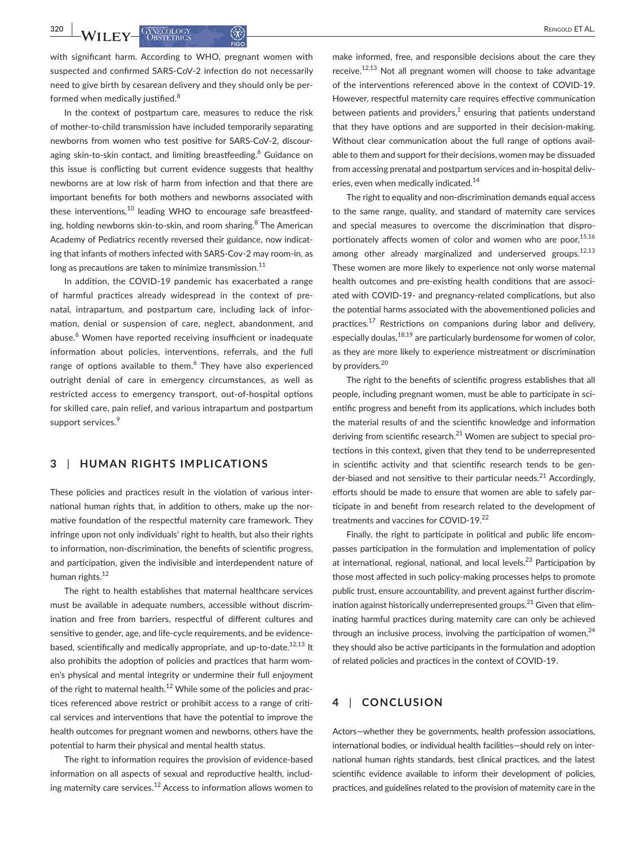with significant harm. According to WHO, pregnant women with suspected and confirmed SARS‐CoV‐2 infection do not necessarily need to give birth by cesarean delivery and they should only be per‐ formed when medically justified.<sup>8</sup>

In the context of postpartum care, measures to reduce the risk of mother‐to‐child transmission have included temporarily separating newborns from women who test positive for SARS‐CoV‐2, discour‐ aging skin-to-skin contact, and limiting breastfeeding.<sup>6</sup> Guidance on this issue is conflicting but current evidence suggests that healthy newborns are at low risk of harm from infection and that there are important benefits for both mothers and newborns associated with these interventions, $10$  leading WHO to encourage safe breastfeeding, holding newborns skin-to-skin, and room sharing.<sup>8</sup> The American Academy of Pediatrics recently reversed their guidance, now indicat‐ ing that infants of mothers infected with SARS‐Cov‐2 may room‐in, as long as precautions are taken to minimize transmission. $11$ 

In addition, the COVID‐19 pandemic has exacerbated a range of harmful practices already widespread in the context of pre‐ natal, intrapartum, and postpartum care, including lack of infor‐ mation, denial or suspension of care, neglect, abandonment, and abuse.<sup>6</sup> Women have reported receiving insufficient or inadequate information about policies, interventions, referrals, and the full range of options available to them. $6$  They have also experienced outright denial of care in emergency circumstances, as well as restricted access to emergency transport, out‐of‐hospital options for skilled care, pain relief, and various intrapartum and postpartum support services.<sup>9</sup>

### **3** | **HUMAN RIGHTS IMPLICATIONS**

These policies and practices result in the violation of various inter‐ national human rights that, in addition to others, make up the nor‐ mative foundation of the respectful maternity care framework. They infringe upon not only individuals' right to health, but also their rights to information, non‐discrimination, the benefits of scientific progress, and participation, given the indivisible and interdependent nature of human rights.<sup>12</sup>

The right to health establishes that maternal healthcare services must be available in adequate numbers, accessible without discrim‐ ination and free from barriers, respectful of different cultures and sensitive to gender, age, and life‐cycle requirements, and be evidence‐ based, scientifically and medically appropriate, and up-to-date.<sup>12,13</sup> It also prohibits the adoption of policies and practices that harm wom‐ en's physical and mental integrity or undermine their full enjoyment of the right to maternal health.<sup>12</sup> While some of the policies and practices referenced above restrict or prohibit access to a range of criti‐ cal services and interventions that have the potential to improve the health outcomes for pregnant women and newborns, others have the potential to harm their physical and mental health status.

The right to information requires the provision of evidence‐based information on all aspects of sexual and reproductive health, includ‐ ing maternity care services. $^{12}$  Access to information allows women to make informed, free, and responsible decisions about the care they receive. $12,13$  Not all pregnant women will choose to take advantage of the interventions referenced above in the context of COVID‐19. However, respectful maternity care requires effective communication between patients and providers, $<sup>1</sup>$  ensuring that patients understand</sup> that they have options and are supported in their decision‐making. Without clear communication about the full range of options avail‐ able to them and support for their decisions, women may be dissuaded from accessing prenatal and postpartum services and in-hospital deliveries, even when medically indicated.<sup>14</sup>

The right to equality and non-discrimination demands equal access to the same range, quality, and standard of maternity care services and special measures to overcome the discrimination that disproportionately affects women of color and women who are poor.<sup>15,16</sup> among other already marginalized and underserved groups.<sup>12,13</sup> These women are more likely to experience not only worse maternal health outcomes and pre-existing health conditions that are associated with COVID‐19‐ and pregnancy‐related complications, but also the potential harms associated with the abovementioned policies and practices.<sup>17</sup> Restrictions on companions during labor and delivery, especially doulas,  $18,19$  are particularly burdensome for women of color. as they are more likely to experience mistreatment or discrimination by providers.<sup>20</sup>

The right to the benefits of scientific progress establishes that all people, including pregnant women, must be able to participate in scientific progress and benefit from its applications, which includes both the material results of and the scientific knowledge and information deriving from scientific research. $^{21}$  Women are subject to special protections in this context, given that they tend to be underrepresented in scientific activity and that scientific research tends to be gender-biased and not sensitive to their particular needs.<sup>21</sup> Accordingly, efforts should be made to ensure that women are able to safely par‐ ticipate in and benefit from research related to the development of treatments and vaccines for COVID‐19.<sup>22</sup>

Finally, the right to participate in political and public life encom‐ passes participation in the formulation and implementation of policy at international, regional, national, and local levels.<sup>23</sup> Participation by those most affected in such policy‐making processes helps to promote public trust, ensure accountability, and prevent against further discrim‐ ination against historically underrepresented groups.<sup>21</sup> Given that eliminating harmful practices during maternity care can only be achieved through an inclusive process, involving the participation of women, $24$ they should also be active participants in the formulation and adoption of related policies and practices in the context of COVID‐19.

## **4** | **CONCLUSION**

Actors—whether they be governments, health profession associations, international bodies, or individual health facilities—should rely on inter‐ national human rights standards, best clinical practices, and the latest scientific evidence available to inform their development of policies, practices, and guidelines related to the provision of maternity care in the